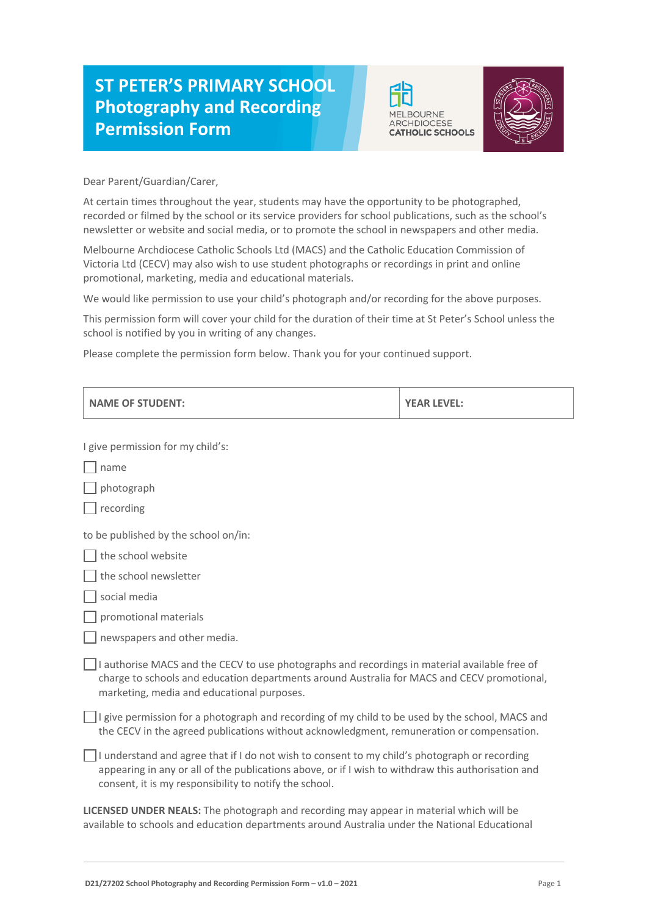## **ST PETER'S PRIMARY SCHOOL Photography and Recording Permission Form**





Dear Parent/Guardian/Carer,

At certain times throughout the year, students may have the opportunity to be photographed, recorded or filmed by the school or its service providers for school publications, such as the school's newsletter or website and social media, or to promote the school in newspapers and other media.

Melbourne Archdiocese Catholic Schools Ltd (MACS) and the Catholic Education Commission of Victoria Ltd (CECV) may also wish to use student photographs or recordings in print and online promotional, marketing, media and educational materials.

We would like permission to use your child's photograph and/or recording for the above purposes.

This permission form will cover your child for the duration of their time at St Peter's School unless the school is notified by you in writing of any changes.

Please complete the permission form below. Thank you for your continued support.

| <b>NAME OF STUDENT:</b>                                                                                                                                                                                                                                       | <b>YEAR LEVEL:</b> |
|---------------------------------------------------------------------------------------------------------------------------------------------------------------------------------------------------------------------------------------------------------------|--------------------|
| I give permission for my child's:                                                                                                                                                                                                                             |                    |
| name                                                                                                                                                                                                                                                          |                    |
| photograph                                                                                                                                                                                                                                                    |                    |
| recording                                                                                                                                                                                                                                                     |                    |
| to be published by the school on/in:                                                                                                                                                                                                                          |                    |
| the school website                                                                                                                                                                                                                                            |                    |
| the school newsletter                                                                                                                                                                                                                                         |                    |
| social media                                                                                                                                                                                                                                                  |                    |
| promotional materials                                                                                                                                                                                                                                         |                    |
| newspapers and other media.                                                                                                                                                                                                                                   |                    |
| I authorise MACS and the CECV to use photographs and recordings in material available free of<br>charge to schools and education departments around Australia for MACS and CECV promotional,<br>marketing, media and educational purposes.                    |                    |
| I give permission for a photograph and recording of my child to be used by the school, MACS and<br>the CECV in the agreed publications without acknowledgment, remuneration or compensation.                                                                  |                    |
| I understand and agree that if I do not wish to consent to my child's photograph or recording<br>appearing in any or all of the publications above, or if I wish to withdraw this authorisation and<br>consent, it is my responsibility to notify the school. |                    |
| LICENSED UNDER NEALS: The photograph and recording may appear in material which will be<br>available to schools and education departments around Australia under the National Educational                                                                     |                    |